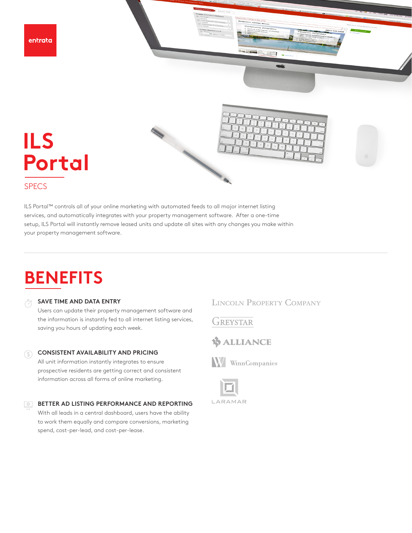

ILS Portal™ controls all of your online marketing with automated feeds to all major internet listing services, and automatically integrates with your property management software. After a one-time setup, ILS Portal will instantly remove leased units and update all sites with any changes you make within your property management software.

# **BENEFITS**

### **SAVE TIME AND DATA ENTRY**

Users can update their property management software and the information is instantly fed to all internet listing services, saving you hours of updating each week.

#### **CONSISTENT AVAILABILITY AND PRICING**   $\left( 3\right)$

All unit information instantly integrates to ensure prospective residents are getting correct and consistent information across all forms of online marketing.

**BETTER AD LISTING PERFORMANCE AND REPORTING**  With all leads in a central dashboard, users have the ability to work them equally and compare conversions, marketing spend, cost-per-lead, and cost-per-lease.

### **LINCOLN PROPERTY COMPANY**

### GREYSTAR

**WALLIANCE** 





LARAMAR